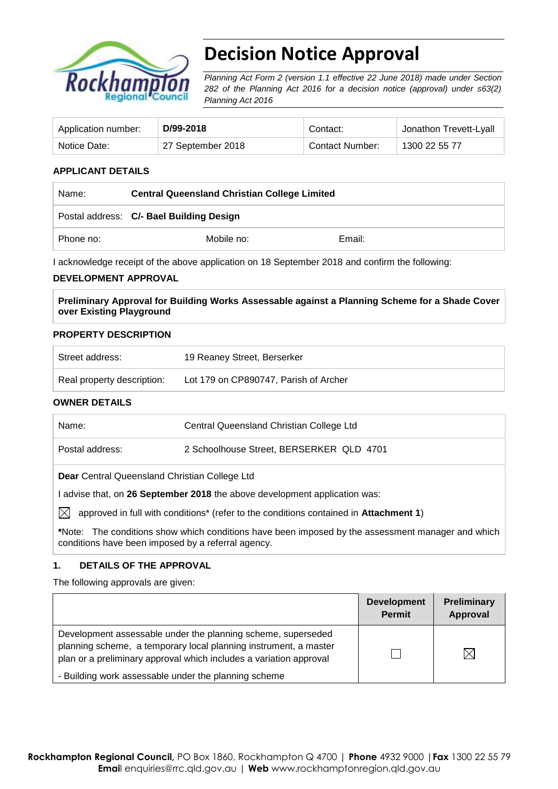

# **Decision Notice Approval**

*Planning Act Form 2 (version 1.1 effective 22 June 2018) made under Section 282 of the Planning Act 2016 for a decision notice (approval) under s63(2) Planning Act 2016*

| Application number: | D/99-2018         | Contact:        | Jonathon Trevett-Lyall |
|---------------------|-------------------|-----------------|------------------------|
| Notice Date:        | 27 September 2018 | Contact Number: | 1300 22 55 77          |

## **APPLICANT DETAILS**

| Name:     | <b>Central Queensland Christian College Limited</b> |        |  |
|-----------|-----------------------------------------------------|--------|--|
|           | Postal address: C/- Bael Building Design            |        |  |
| Phone no: | Mobile no:                                          | Email: |  |

I acknowledge receipt of the above application on 18 September 2018 and confirm the following:

#### **DEVELOPMENT APPROVAL**

**Preliminary Approval for Building Works Assessable against a Planning Scheme for a Shade Cover over Existing Playground**

#### **PROPERTY DESCRIPTION**

| Street address:            | 19 Reaney Street, Berserker           |
|----------------------------|---------------------------------------|
| Real property description: | Lot 179 on CP890747, Parish of Archer |

#### **OWNER DETAILS**

| Name:                                                                                                                                                   | Central Queensland Christian College Ltd |  |  |
|---------------------------------------------------------------------------------------------------------------------------------------------------------|------------------------------------------|--|--|
| Postal address:                                                                                                                                         | 2 Schoolhouse Street, BERSERKER QLD 4701 |  |  |
| Dear Central Queensland Christian College Ltd                                                                                                           |                                          |  |  |
| advise that, on 26 September 2018 the above development application was:                                                                                |                                          |  |  |
| IXI<br>approved in full with conditions* (refer to the conditions contained in Attachment 1)                                                            |                                          |  |  |
| *Note: The conditions show which conditions have been imposed by the assessment manager and which<br>conditions have been imposed by a referral agency. |                                          |  |  |

#### **1. DETAILS OF THE APPROVAL**

The following approvals are given:

|                                                                                                                                                                                                        | <b>Development</b><br><b>Permit</b> | <b>Preliminary</b><br>Approval |
|--------------------------------------------------------------------------------------------------------------------------------------------------------------------------------------------------------|-------------------------------------|--------------------------------|
| Development assessable under the planning scheme, superseded<br>planning scheme, a temporary local planning instrument, a master<br>plan or a preliminary approval which includes a variation approval |                                     |                                |
| - Building work assessable under the planning scheme                                                                                                                                                   |                                     |                                |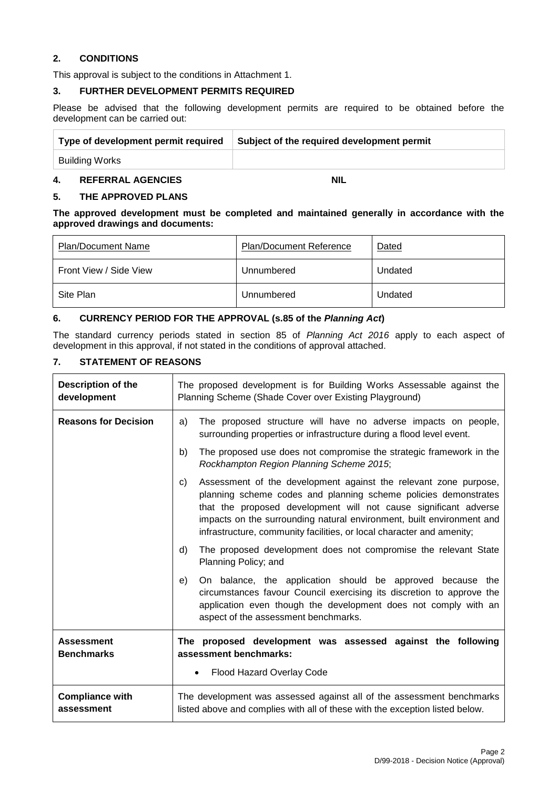### **2. CONDITIONS**

This approval is subject to the conditions in Attachment 1.

#### **3. FURTHER DEVELOPMENT PERMITS REQUIRED**

Please be advised that the following development permits are required to be obtained before the development can be carried out:

| Type of development permit required | Subject of the required development permit |
|-------------------------------------|--------------------------------------------|
| Building Works                      |                                            |
|                                     |                                            |

# **4. REFERRAL AGENCIES NIL**

### **5. THE APPROVED PLANS**

**The approved development must be completed and maintained generally in accordance with the approved drawings and documents:**

| Plan/Document Name     | <b>Plan/Document Reference</b> | Dated   |
|------------------------|--------------------------------|---------|
| Front View / Side View | Unnumbered                     | Undated |
| Site Plan              | Unnumbered                     | Undated |

### **6. CURRENCY PERIOD FOR THE APPROVAL (s.85 of the** *Planning Act***)**

The standard currency periods stated in section 85 of *Planning Act 2016* apply to each aspect of development in this approval, if not stated in the conditions of approval attached.

### **7. STATEMENT OF REASONS**

| <b>Description of the</b><br>development | The proposed development is for Building Works Assessable against the<br>Planning Scheme (Shade Cover over Existing Playground)                                                                                                                                                                                                                                 |  |
|------------------------------------------|-----------------------------------------------------------------------------------------------------------------------------------------------------------------------------------------------------------------------------------------------------------------------------------------------------------------------------------------------------------------|--|
| <b>Reasons for Decision</b>              | The proposed structure will have no adverse impacts on people,<br>a)<br>surrounding properties or infrastructure during a flood level event.                                                                                                                                                                                                                    |  |
|                                          | The proposed use does not compromise the strategic framework in the<br>b)<br>Rockhampton Region Planning Scheme 2015;                                                                                                                                                                                                                                           |  |
|                                          | Assessment of the development against the relevant zone purpose,<br>C)<br>planning scheme codes and planning scheme policies demonstrates<br>that the proposed development will not cause significant adverse<br>impacts on the surrounding natural environment, built environment and<br>infrastructure, community facilities, or local character and amenity; |  |
|                                          | The proposed development does not compromise the relevant State<br>d)<br>Planning Policy; and                                                                                                                                                                                                                                                                   |  |
|                                          | On balance, the application should be approved because the<br>e)<br>circumstances favour Council exercising its discretion to approve the<br>application even though the development does not comply with an<br>aspect of the assessment benchmarks.                                                                                                            |  |
| <b>Assessment</b><br><b>Benchmarks</b>   | The proposed development was assessed against the following<br>assessment benchmarks:<br>Flood Hazard Overlay Code                                                                                                                                                                                                                                              |  |
| <b>Compliance with</b><br>assessment     | The development was assessed against all of the assessment benchmarks<br>listed above and complies with all of these with the exception listed below.                                                                                                                                                                                                           |  |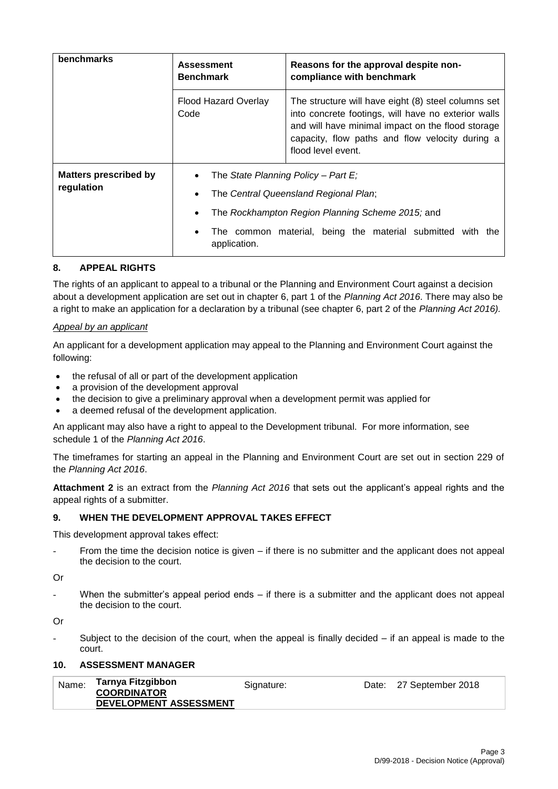| benchmarks                                 | <b>Assessment</b><br><b>Benchmark</b> | Reasons for the approval despite non-<br>compliance with benchmark                                                                                                                                                                       |  |  |
|--------------------------------------------|---------------------------------------|------------------------------------------------------------------------------------------------------------------------------------------------------------------------------------------------------------------------------------------|--|--|
|                                            | Flood Hazard Overlay<br>Code          | The structure will have eight (8) steel columns set<br>into concrete footings, will have no exterior walls<br>and will have minimal impact on the flood storage<br>capacity, flow paths and flow velocity during a<br>flood level event. |  |  |
| <b>Matters prescribed by</b><br>regulation |                                       | The State Planning Policy – Part E;<br>The Central Queensland Regional Plan;<br>The Rockhampton Region Planning Scheme 2015; and                                                                                                         |  |  |
|                                            | application.                          | The common material, being the material submitted<br>with the                                                                                                                                                                            |  |  |

# **8. APPEAL RIGHTS**

The rights of an applicant to appeal to a tribunal or the Planning and Environment Court against a decision about a development application are set out in chapter 6, part 1 of the *Planning Act 2016*. There may also be a right to make an application for a declaration by a tribunal (see chapter 6, part 2 of the *Planning Act 2016).*

#### *Appeal by an applicant*

An applicant for a development application may appeal to the Planning and Environment Court against the following:

- the refusal of all or part of the development application
- a provision of the development approval
- the decision to give a preliminary approval when a development permit was applied for
- a deemed refusal of the development application.

An applicant may also have a right to appeal to the Development tribunal. For more information, see schedule 1 of the *Planning Act 2016*.

The timeframes for starting an appeal in the Planning and Environment Court are set out in section 229 of the *Planning Act 2016*.

**Attachment 2** is an extract from the *Planning Act 2016* that sets out the applicant's appeal rights and the appeal rights of a submitter.

### **9. WHEN THE DEVELOPMENT APPROVAL TAKES EFFECT**

This development approval takes effect:

From the time the decision notice is given  $-$  if there is no submitter and the applicant does not appeal the decision to the court.

Or

When the submitter's appeal period ends  $-$  if there is a submitter and the applicant does not appeal the decision to the court.

Or

Subject to the decision of the court, when the appeal is finally decided  $-$  if an appeal is made to the court.

## **10. ASSESSMENT MANAGER**

| Name: | Tarnya Fitzgibbon             | Signature: | Date: 27 September 2018 |
|-------|-------------------------------|------------|-------------------------|
|       | <b>COORDINATOR</b>            |            |                         |
|       | <b>DEVELOPMENT ASSESSMENT</b> |            |                         |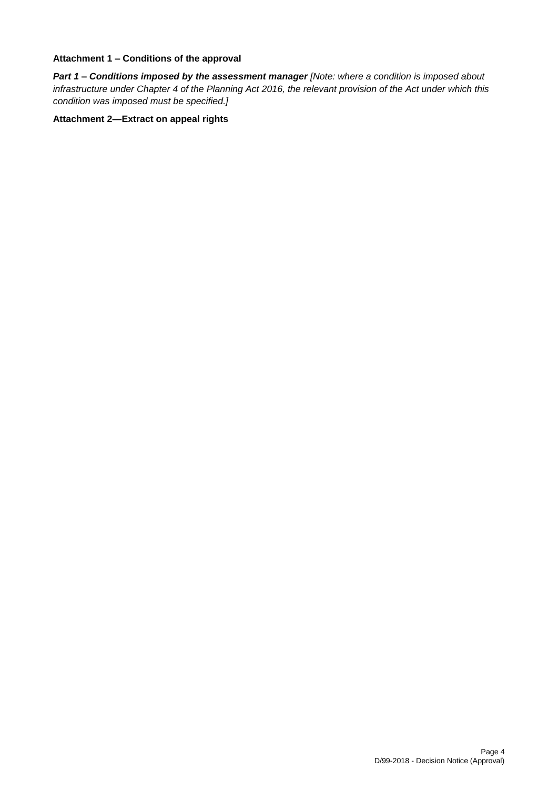#### **Attachment 1 – Conditions of the approval**

*Part 1* **–** *Conditions imposed by the assessment manager [Note: where a condition is imposed about infrastructure under Chapter 4 of the Planning Act 2016, the relevant provision of the Act under which this condition was imposed must be specified.]*

# **Attachment 2—Extract on appeal rights**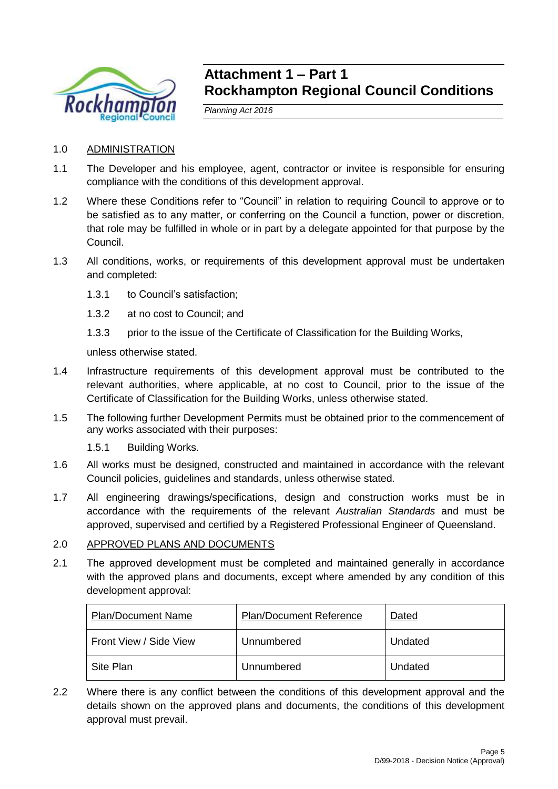

# **Attachment 1 – Part 1 Rockhampton Regional Council Conditions**

*Planning Act 2016*

# 1.0 ADMINISTRATION

- 1.1 The Developer and his employee, agent, contractor or invitee is responsible for ensuring compliance with the conditions of this development approval.
- 1.2 Where these Conditions refer to "Council" in relation to requiring Council to approve or to be satisfied as to any matter, or conferring on the Council a function, power or discretion, that role may be fulfilled in whole or in part by a delegate appointed for that purpose by the Council.
- 1.3 All conditions, works, or requirements of this development approval must be undertaken and completed:
	- 1.3.1 to Council's satisfaction;
	- 1.3.2 at no cost to Council; and
	- 1.3.3 prior to the issue of the Certificate of Classification for the Building Works,

unless otherwise stated.

- 1.4 Infrastructure requirements of this development approval must be contributed to the relevant authorities, where applicable, at no cost to Council, prior to the issue of the Certificate of Classification for the Building Works, unless otherwise stated.
- 1.5 The following further Development Permits must be obtained prior to the commencement of any works associated with their purposes:
	- 1.5.1 Building Works.
- 1.6 All works must be designed, constructed and maintained in accordance with the relevant Council policies, guidelines and standards, unless otherwise stated.
- 1.7 All engineering drawings/specifications, design and construction works must be in accordance with the requirements of the relevant *Australian Standards* and must be approved, supervised and certified by a Registered Professional Engineer of Queensland.

# 2.0 APPROVED PLANS AND DOCUMENTS

2.1 The approved development must be completed and maintained generally in accordance with the approved plans and documents, except where amended by any condition of this development approval:

| <b>Plan/Document Name</b> | <b>Plan/Document Reference</b> | Dated   |
|---------------------------|--------------------------------|---------|
| Front View / Side View    | Unnumbered                     | Undated |
| Site Plan                 | Unnumbered                     | Undated |

2.2 Where there is any conflict between the conditions of this development approval and the details shown on the approved plans and documents, the conditions of this development approval must prevail.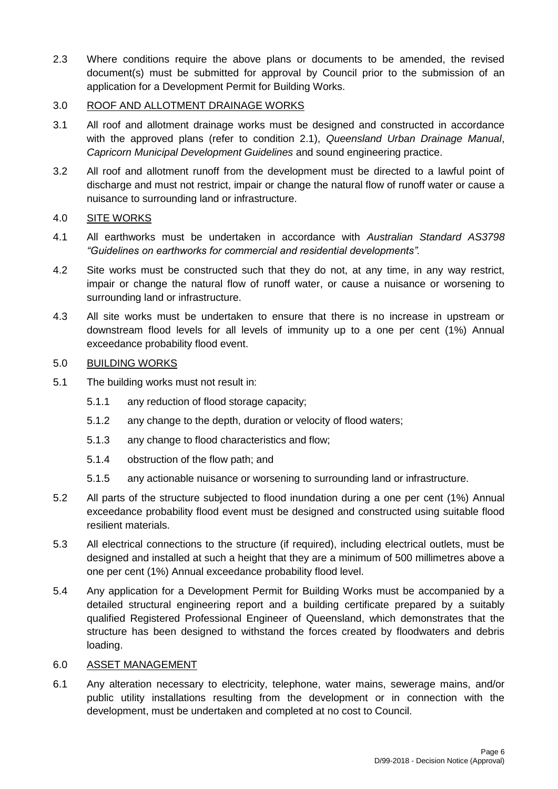2.3 Where conditions require the above plans or documents to be amended, the revised document(s) must be submitted for approval by Council prior to the submission of an application for a Development Permit for Building Works.

# 3.0 ROOF AND ALLOTMENT DRAINAGE WORKS

- 3.1 All roof and allotment drainage works must be designed and constructed in accordance with the approved plans (refer to condition 2.1), *Queensland Urban Drainage Manual*, *Capricorn Municipal Development Guidelines* and sound engineering practice.
- 3.2 All roof and allotment runoff from the development must be directed to a lawful point of discharge and must not restrict, impair or change the natural flow of runoff water or cause a nuisance to surrounding land or infrastructure.

# 4.0 SITE WORKS

- 4.1 All earthworks must be undertaken in accordance with *Australian Standard AS3798 "Guidelines on earthworks for commercial and residential developments".*
- 4.2 Site works must be constructed such that they do not, at any time, in any way restrict, impair or change the natural flow of runoff water, or cause a nuisance or worsening to surrounding land or infrastructure.
- 4.3 All site works must be undertaken to ensure that there is no increase in upstream or downstream flood levels for all levels of immunity up to a one per cent (1%) Annual exceedance probability flood event.

# 5.0 BUILDING WORKS

- 5.1 The building works must not result in:
	- 5.1.1 any reduction of flood storage capacity;
	- 5.1.2 any change to the depth, duration or velocity of flood waters;
	- 5.1.3 any change to flood characteristics and flow;
	- 5.1.4 obstruction of the flow path; and
	- 5.1.5 any actionable nuisance or worsening to surrounding land or infrastructure.
- 5.2 All parts of the structure subjected to flood inundation during a one per cent (1%) Annual exceedance probability flood event must be designed and constructed using suitable flood resilient materials.
- 5.3 All electrical connections to the structure (if required), including electrical outlets, must be designed and installed at such a height that they are a minimum of 500 millimetres above a one per cent (1%) Annual exceedance probability flood level.
- 5.4 Any application for a Development Permit for Building Works must be accompanied by a detailed structural engineering report and a building certificate prepared by a suitably qualified Registered Professional Engineer of Queensland, which demonstrates that the structure has been designed to withstand the forces created by floodwaters and debris loading.

# 6.0 ASSET MANAGEMENT

6.1 Any alteration necessary to electricity, telephone, water mains, sewerage mains, and/or public utility installations resulting from the development or in connection with the development, must be undertaken and completed at no cost to Council.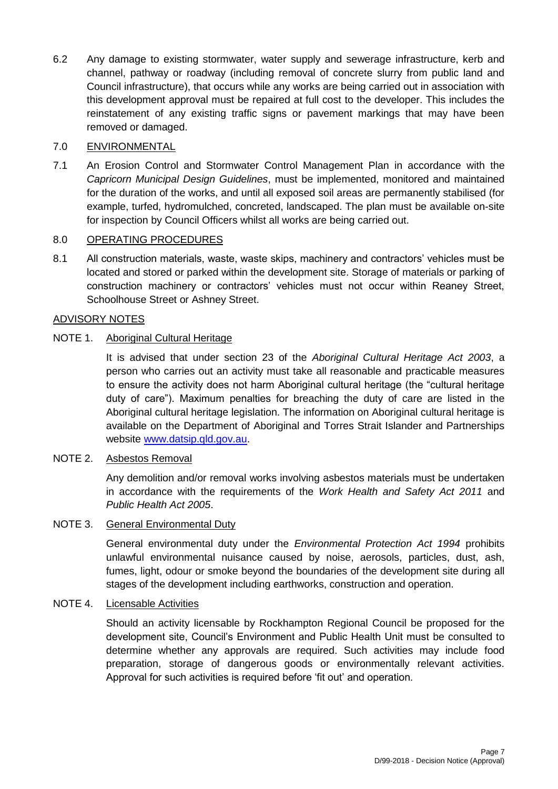6.2 Any damage to existing stormwater, water supply and sewerage infrastructure, kerb and channel, pathway or roadway (including removal of concrete slurry from public land and Council infrastructure), that occurs while any works are being carried out in association with this development approval must be repaired at full cost to the developer. This includes the reinstatement of any existing traffic signs or pavement markings that may have been removed or damaged.

# 7.0 ENVIRONMENTAL

7.1 An Erosion Control and Stormwater Control Management Plan in accordance with the *Capricorn Municipal Design Guidelines*, must be implemented, monitored and maintained for the duration of the works, and until all exposed soil areas are permanently stabilised (for example, turfed, hydromulched, concreted, landscaped. The plan must be available on-site for inspection by Council Officers whilst all works are being carried out.

# 8.0 OPERATING PROCEDURES

8.1 All construction materials, waste, waste skips, machinery and contractors' vehicles must be located and stored or parked within the development site. Storage of materials or parking of construction machinery or contractors' vehicles must not occur within Reaney Street, Schoolhouse Street or Ashney Street.

# ADVISORY NOTES

# NOTE 1. Aboriginal Cultural Heritage

It is advised that under section 23 of the *Aboriginal Cultural Heritage Act 2003*, a person who carries out an activity must take all reasonable and practicable measures to ensure the activity does not harm Aboriginal cultural heritage (the "cultural heritage duty of care"). Maximum penalties for breaching the duty of care are listed in the Aboriginal cultural heritage legislation. The information on Aboriginal cultural heritage is available on the Department of Aboriginal and Torres Strait Islander and Partnerships website [www.datsip.qld.gov.au.](http://www.datsip.qld.gov.au/)

# NOTE 2. Asbestos Removal

Any demolition and/or removal works involving asbestos materials must be undertaken in accordance with the requirements of the *Work Health and Safety Act 2011* and *Public Health Act 2005*.

# NOTE 3. General Environmental Duty

General environmental duty under the *Environmental Protection Act 1994* prohibits unlawful environmental nuisance caused by noise, aerosols, particles, dust, ash, fumes, light, odour or smoke beyond the boundaries of the development site during all stages of the development including earthworks, construction and operation.

# NOTE 4. Licensable Activities

Should an activity licensable by Rockhampton Regional Council be proposed for the development site, Council's Environment and Public Health Unit must be consulted to determine whether any approvals are required. Such activities may include food preparation, storage of dangerous goods or environmentally relevant activities. Approval for such activities is required before 'fit out' and operation.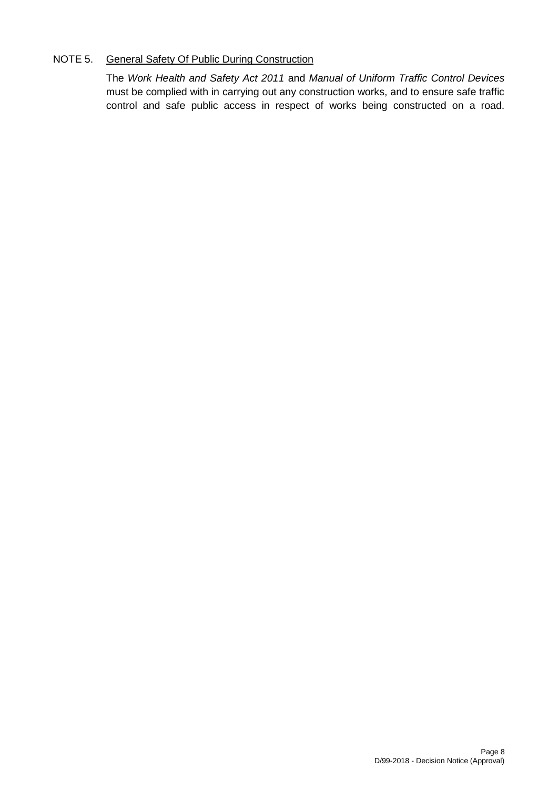# NOTE 5. General Safety Of Public During Construction

The *Work Health and Safety Act 2011* and *Manual of Uniform Traffic Control Devices* must be complied with in carrying out any construction works, and to ensure safe traffic control and safe public access in respect of works being constructed on a road.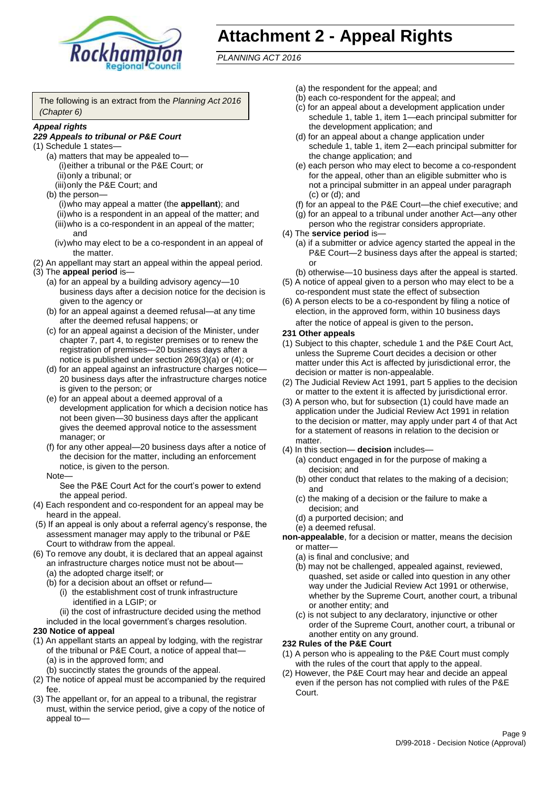

# **Attachment 2 - Appeal Rights**

*PLANNING ACT 2016*

The following is an extract from the *Planning Act 2016 (Chapter 6)*

#### *Appeal rights*

### *229 Appeals to tribunal or P&E Court*

- (1) Schedule 1 states—
	- (a) matters that may be appealed to— (i)either a tribunal or the P&E Court; or (ii)only a tribunal; or (iii)only the P&E Court; and
	- (b) the person—

(i)who may appeal a matter (the **appellant**); and (ii)who is a respondent in an appeal of the matter; and (iii)who is a co-respondent in an appeal of the matter; and

- (iv)who may elect to be a co-respondent in an appeal of the matter.
- (2) An appellant may start an appeal within the appeal period.
- (3) The **appeal period** is—
	- (a) for an appeal by a building advisory agency—10 business days after a decision notice for the decision is given to the agency or
	- (b) for an appeal against a deemed refusal—at any time after the deemed refusal happens; or
	- (c) for an appeal against a decision of the Minister, under chapter 7, part 4, to register premises or to renew the registration of premises—20 business days after a notice is published under section 269(3)(a) or (4); or
	- (d) for an appeal against an infrastructure charges notice— 20 business days after the infrastructure charges notice is given to the person; or
	- (e) for an appeal about a deemed approval of a development application for which a decision notice has not been given—30 business days after the applicant gives the deemed approval notice to the assessment manager; or
	- (f) for any other appeal—20 business days after a notice of the decision for the matter, including an enforcement notice, is given to the person.

#### Note—

See the P&E Court Act for the court's power to extend the appeal period.

- (4) Each respondent and co-respondent for an appeal may be heard in the appeal.
- (5) If an appeal is only about a referral agency's response, the assessment manager may apply to the tribunal or P&E Court to withdraw from the appeal.
- (6) To remove any doubt, it is declared that an appeal against an infrastructure charges notice must not be about—
	- (a) the adopted charge itself; or
	- (b) for a decision about an offset or refund—
		- (i) the establishment cost of trunk infrastructure identified in a LGIP; or
		- (ii) the cost of infrastructure decided using the method

included in the local government's charges resolution.

#### **230 Notice of appeal**

- (1) An appellant starts an appeal by lodging, with the registrar of the tribunal or P&E Court, a notice of appeal that—
	- (a) is in the approved form; and
	- (b) succinctly states the grounds of the appeal.
- (2) The notice of appeal must be accompanied by the required fee.
- (3) The appellant or, for an appeal to a tribunal, the registrar must, within the service period, give a copy of the notice of appeal to—
- (a) the respondent for the appeal; and
- (b) each co-respondent for the appeal; and
- (c) for an appeal about a development application under schedule 1, table 1, item 1—each principal submitter for the development application; and
- (d) for an appeal about a change application under schedule 1, table 1, item 2—each principal submitter for the change application; and
- (e) each person who may elect to become a co-respondent for the appeal, other than an eligible submitter who is not a principal submitter in an appeal under paragraph (c) or (d); and
- (f) for an appeal to the P&E Court—the chief executive; and
- (g) for an appeal to a tribunal under another Act—any other person who the registrar considers appropriate.
- (4) The **service period** is—
	- (a) if a submitter or advice agency started the appeal in the P&E Court—2 business days after the appeal is started; or
	- (b) otherwise—10 business days after the appeal is started.
- (5) A notice of appeal given to a person who may elect to be a co-respondent must state the effect of subsection
- (6) A person elects to be a co-respondent by filing a notice of election, in the approved form, within 10 business days after the notice of appeal is given to the person*.*
- **231 Other appeals**
- (1) Subject to this chapter, schedule 1 and the P&E Court Act, unless the Supreme Court decides a decision or other matter under this Act is affected by jurisdictional error, the decision or matter is non-appealable.
- (2) The Judicial Review Act 1991, part 5 applies to the decision or matter to the extent it is affected by jurisdictional error.
- (3) A person who, but for subsection (1) could have made an application under the Judicial Review Act 1991 in relation to the decision or matter, may apply under part 4 of that Act for a statement of reasons in relation to the decision or matter.
- (4) In this section— **decision** includes—
	- (a) conduct engaged in for the purpose of making a decision; and
	- (b) other conduct that relates to the making of a decision; and
	- (c) the making of a decision or the failure to make a decision; and
	- (d) a purported decision; and
	- (e) a deemed refusal.

**non-appealable**, for a decision or matter, means the decision or matter—

- (a) is final and conclusive; and
- (b) may not be challenged, appealed against, reviewed, quashed, set aside or called into question in any other way under the Judicial Review Act 1991 or otherwise, whether by the Supreme Court, another court, a tribunal or another entity; and
- (c) is not subject to any declaratory, injunctive or other order of the Supreme Court, another court, a tribunal or another entity on any ground.

#### **232 Rules of the P&E Court**

- (1) A person who is appealing to the P&E Court must comply with the rules of the court that apply to the appeal.
- (2) However, the P&E Court may hear and decide an appeal even if the person has not complied with rules of the P&E Court.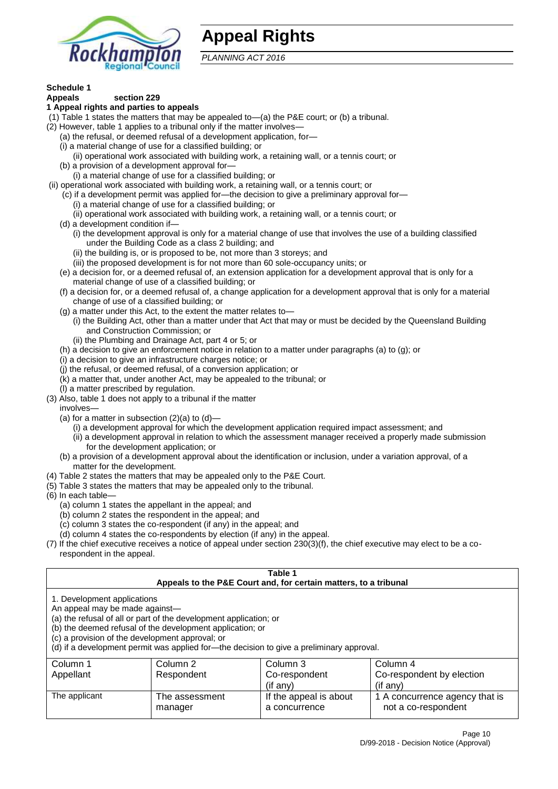

# **Appeal Rights**

*PLANNING ACT 2016*

# **Schedule 1**

#### **Appeals section 229 1 Appeal rights and parties to appeals**

- (1) Table 1 states the matters that may be appealed to—(a) the P&E court; or (b) a tribunal.
- (2) However, table 1 applies to a tribunal only if the matter involves—
	- (a) the refusal, or deemed refusal of a development application, for—
	- (i) a material change of use for a classified building; or
	- (ii) operational work associated with building work, a retaining wall, or a tennis court; or
	- (b) a provision of a development approval for—
	- (i) a material change of use for a classified building; or
- (ii) operational work associated with building work, a retaining wall, or a tennis court; or
	- (c) if a development permit was applied for—the decision to give a preliminary approval for—
		- (i) a material change of use for a classified building; or
	- (ii) operational work associated with building work, a retaining wall, or a tennis court; or
	- (d) a development condition if—
		- (i) the development approval is only for a material change of use that involves the use of a building classified under the Building Code as a class 2 building; and
		- (ii) the building is, or is proposed to be, not more than 3 storeys; and
		- (iii) the proposed development is for not more than 60 sole-occupancy units; or
	- (e) a decision for, or a deemed refusal of, an extension application for a development approval that is only for a material change of use of a classified building; or
	- (f) a decision for, or a deemed refusal of, a change application for a development approval that is only for a material change of use of a classified building; or
	- (g) a matter under this Act, to the extent the matter relates to—
		- (i) the Building Act, other than a matter under that Act that may or must be decided by the Queensland Building and Construction Commission; or
		- (ii) the Plumbing and Drainage Act, part 4 or 5; or
	- (h) a decision to give an enforcement notice in relation to a matter under paragraphs (a) to (g); or
	- (i) a decision to give an infrastructure charges notice; or
	- (j) the refusal, or deemed refusal, of a conversion application; or
	- (k) a matter that, under another Act, may be appealed to the tribunal; or
	- (l) a matter prescribed by regulation.
- (3) Also, table 1 does not apply to a tribunal if the matter

involves—

- (a) for a matter in subsection  $(2)(a)$  to  $(d)$ 
	- (i) a development approval for which the development application required impact assessment; and
	- (ii) a development approval in relation to which the assessment manager received a properly made submission for the development application; or
- (b) a provision of a development approval about the identification or inclusion, under a variation approval, of a matter for the development.
- (4) Table 2 states the matters that may be appealed only to the P&E Court.
- (5) Table 3 states the matters that may be appealed only to the tribunal.
- (6) In each table—
	- (a) column 1 states the appellant in the appeal; and
	- (b) column 2 states the respondent in the appeal; and
	- (c) column 3 states the co-respondent (if any) in the appeal; and
	- (d) column 4 states the co-respondents by election (if any) in the appeal.
- (7) If the chief executive receives a notice of appeal under section 230(3)(f), the chief executive may elect to be a corespondent in the appeal.

| Table 1<br>Appeals to the P&E Court and, for certain matters, to a tribunal                                                                                                                                                                                                                                                                    |                                         |                                                       |  |  |
|------------------------------------------------------------------------------------------------------------------------------------------------------------------------------------------------------------------------------------------------------------------------------------------------------------------------------------------------|-----------------------------------------|-------------------------------------------------------|--|--|
| 1. Development applications<br>An appeal may be made against-<br>(a) the refusal of all or part of the development application; or<br>(b) the deemed refusal of the development application; or<br>(c) a provision of the development approval; or<br>(d) if a development permit was applied for-the decision to give a preliminary approval. |                                         |                                                       |  |  |
| Column 2                                                                                                                                                                                                                                                                                                                                       | Column 3                                | Column 4                                              |  |  |
| Respondent                                                                                                                                                                                                                                                                                                                                     | Co-respondent                           | Co-respondent by election                             |  |  |
| (if any)<br>$($ if any $)$                                                                                                                                                                                                                                                                                                                     |                                         |                                                       |  |  |
| The assessment<br>manager                                                                                                                                                                                                                                                                                                                      | If the appeal is about<br>a concurrence | 1 A concurrence agency that is<br>not a co-respondent |  |  |
|                                                                                                                                                                                                                                                                                                                                                |                                         |                                                       |  |  |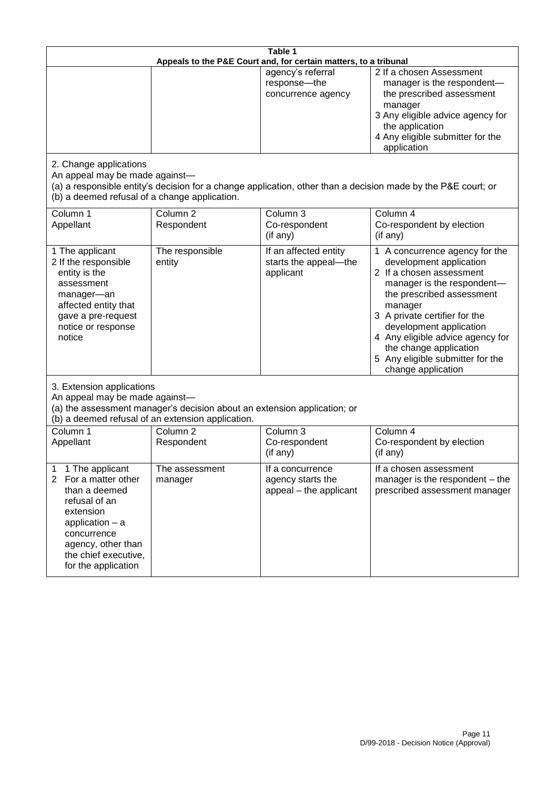| Table 1<br>Appeals to the P&E Court and, for certain matters, to a tribunal                                                                                                                                        |                                   |                                                                 |                                                                                                                                                                                                                                                                                                                                                 |  |
|--------------------------------------------------------------------------------------------------------------------------------------------------------------------------------------------------------------------|-----------------------------------|-----------------------------------------------------------------|-------------------------------------------------------------------------------------------------------------------------------------------------------------------------------------------------------------------------------------------------------------------------------------------------------------------------------------------------|--|
|                                                                                                                                                                                                                    |                                   | agency's referral<br>response-the<br>concurrence agency         | 2 If a chosen Assessment<br>manager is the respondent-<br>the prescribed assessment<br>manager<br>3 Any eligible advice agency for<br>the application<br>4 Any eligible submitter for the<br>application                                                                                                                                        |  |
| 2. Change applications<br>An appeal may be made against-<br>(b) a deemed refusal of a change application.                                                                                                          |                                   |                                                                 | (a) a responsible entity's decision for a change application, other than a decision made by the P&E court; or                                                                                                                                                                                                                                   |  |
| Column 1<br>Appellant                                                                                                                                                                                              | Column <sub>2</sub><br>Respondent | Column 3<br>Co-respondent<br>(if any)                           | Column 4<br>Co-respondent by election<br>(if any)                                                                                                                                                                                                                                                                                               |  |
| 1 The applicant<br>2 If the responsible<br>entity is the<br>assessment<br>manager-an<br>affected entity that<br>gave a pre-request<br>notice or response<br>notice                                                 | The responsible<br>entity         | If an affected entity<br>starts the appeal-the<br>applicant     | 1 A concurrence agency for the<br>development application<br>2 If a chosen assessment<br>manager is the respondent-<br>the prescribed assessment<br>manager<br>3 A private certifier for the<br>development application<br>4 Any eligible advice agency for<br>the change application<br>5 Any eligible submitter for the<br>change application |  |
| 3. Extension applications<br>An appeal may be made against-<br>(a) the assessment manager's decision about an extension application; or<br>(b) a deemed refusal of an extension application.                       |                                   |                                                                 |                                                                                                                                                                                                                                                                                                                                                 |  |
| Column 1<br>Appellant                                                                                                                                                                                              | Column <sub>2</sub><br>Respondent | Column 3<br>Co-respondent<br>(if any)                           | Column 4<br>Co-respondent by election<br>(if any)                                                                                                                                                                                                                                                                                               |  |
| 1 The applicant<br>1<br>For a matter other<br>$\overline{2}$<br>than a deemed<br>refusal of an<br>extension<br>application - a<br>concurrence<br>agency, other than<br>the chief executive,<br>for the application | The assessment<br>manager         | If a concurrence<br>agency starts the<br>appeal - the applicant | If a chosen assessment<br>manager is the respondent - the<br>prescribed assessment manager                                                                                                                                                                                                                                                      |  |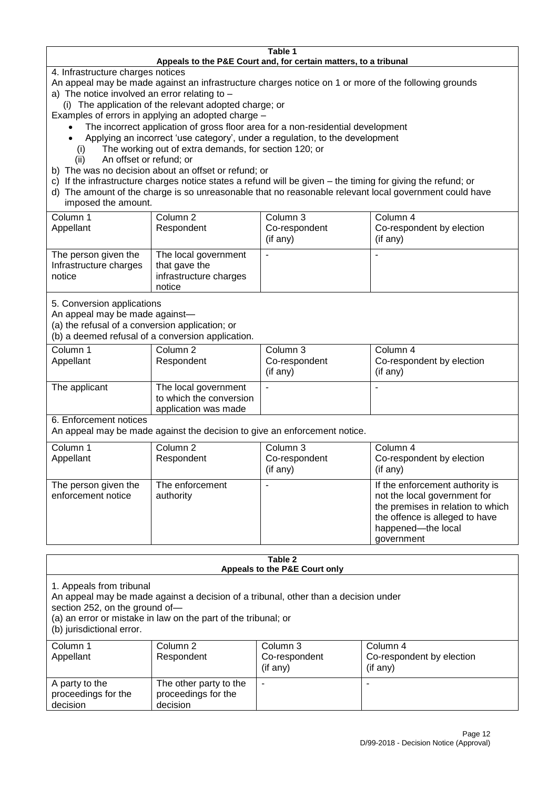#### **Table 1 Appeals to the P&E Court and, for certain matters, to a tribunal**

4. Infrastructure charges notices

- An appeal may be made against an infrastructure charges notice on 1 or more of the following grounds
- a) The notice involved an error relating to
	- (i) The application of the relevant adopted charge; or
- Examples of errors in applying an adopted charge
	- The incorrect application of gross floor area for a non-residential development
	- Applying an incorrect 'use category', under a regulation, to the development
	- (i) The working out of extra demands, for section 120; or
	- (ii) An offset or refund; or
- b) The was no decision about an offset or refund; or
- c) If the infrastructure charges notice states a refund will be given the timing for giving the refund; or
- d) The amount of the charge is so unreasonable that no reasonable relevant local government could have
- imposed the amount.

| Column 1                                                 | Column 2                                                                  | Column 3       | Column 4                  |
|----------------------------------------------------------|---------------------------------------------------------------------------|----------------|---------------------------|
| Appellant                                                | Respondent                                                                | Co-respondent  | Co-respondent by election |
|                                                          |                                                                           | $($ if any $)$ | (if any)                  |
| The person given the<br>Infrastructure charges<br>notice | The local government<br>that gave the<br>infrastructure charges<br>notice |                |                           |

5. Conversion applications

An appeal may be made against—

(a) the refusal of a conversion application; or

(b) a deemed refusal of a conversion application.

| Column 1<br>Appellant | Column 2<br>Respondent                                                  | Column 3<br>Co-respondent<br>$($ if any $)$ | Column 4<br>Co-respondent by election<br>$($ if any $)$ |
|-----------------------|-------------------------------------------------------------------------|---------------------------------------------|---------------------------------------------------------|
| The applicant         | The local government<br>to which the conversion<br>application was made |                                             |                                                         |

6. Enforcement notices

An appeal may be made against the decision to give an enforcement notice.

| Column 1                                   | Column 2                     | Column 3      | Column 4                                                                                                                                                                   |
|--------------------------------------------|------------------------------|---------------|----------------------------------------------------------------------------------------------------------------------------------------------------------------------------|
| Appellant                                  | Respondent                   | Co-respondent | Co-respondent by election                                                                                                                                                  |
|                                            |                              | (if any)      | (if any)                                                                                                                                                                   |
| The person given the<br>enforcement notice | The enforcement<br>authority |               | If the enforcement authority is<br>not the local government for<br>the premises in relation to which<br>the offence is alleged to have<br>happened-the local<br>government |

#### **Table 2 Appeals to the P&E Court only**

1. Appeals from tribunal

An appeal may be made against a decision of a tribunal, other than a decision under

section 252, on the ground of—

(a) an error or mistake in law on the part of the tribunal; or

(b) jurisdictional error.

| Column 1<br>Appellant                             | Column 2<br>Respondent                                    | Column 3<br>Co-respondent<br>$($ if any $)$ | Column 4<br>Co-respondent by election<br>(if any) |
|---------------------------------------------------|-----------------------------------------------------------|---------------------------------------------|---------------------------------------------------|
| A party to the<br>proceedings for the<br>decision | The other party to the<br>proceedings for the<br>decision | ۰                                           |                                                   |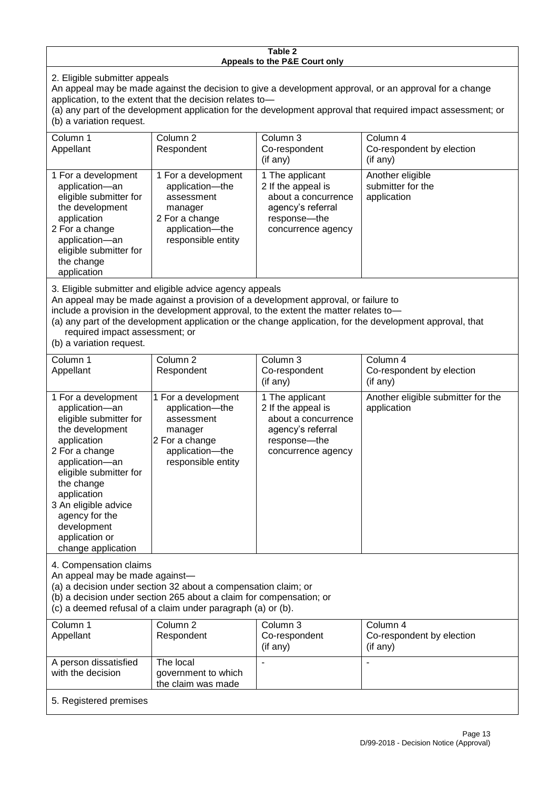#### **Table 2 Appeals to the P&E Court only**

2. Eligible submitter appeals

An appeal may be made against the decision to give a development approval, or an approval for a change application, to the extent that the decision relates to—

(a) any part of the development application for the development approval that required impact assessment; or (b) a variation request.

| Column 1                                                                                                                                                                                     | Column 2                                                                                                                   | Column 3                                                                                                                  | Column 4                                             |
|----------------------------------------------------------------------------------------------------------------------------------------------------------------------------------------------|----------------------------------------------------------------------------------------------------------------------------|---------------------------------------------------------------------------------------------------------------------------|------------------------------------------------------|
| Appellant                                                                                                                                                                                    | Respondent                                                                                                                 | Co-respondent                                                                                                             | Co-respondent by election                            |
|                                                                                                                                                                                              |                                                                                                                            | (i f an y)                                                                                                                | (if any)                                             |
| 1 For a development<br>application-an<br>eligible submitter for<br>the development<br>application<br>2 For a change<br>application-an<br>eligible submitter for<br>the change<br>application | 1 For a development<br>application-the<br>assessment<br>manager<br>2 For a change<br>application-the<br>responsible entity | 1 The applicant<br>2 If the appeal is<br>about a concurrence<br>agency's referral<br>response---the<br>concurrence agency | Another eligible<br>submitter for the<br>application |
| 3. Eligible submitter and eligible advice agency appeals<br>An annal mail is made englast a nuclidian af a deudanmant converted an failure to                                                |                                                                                                                            |                                                                                                                           |                                                      |

An appeal may be made against a provision of a development approval, or failure to

include a provision in the development approval, to the extent the matter relates to—

(a) any part of the development application or the change application, for the development approval, that required impact assessment; or

(b) a variation request.

with the decision

| Column 1                                                                                                                                                                                                                                                                                      | Column <sub>2</sub>                                                                                                        | Column <sub>3</sub>                                                                                                     | Column 4                                          |  |
|-----------------------------------------------------------------------------------------------------------------------------------------------------------------------------------------------------------------------------------------------------------------------------------------------|----------------------------------------------------------------------------------------------------------------------------|-------------------------------------------------------------------------------------------------------------------------|---------------------------------------------------|--|
| Appellant                                                                                                                                                                                                                                                                                     | Respondent                                                                                                                 | Co-respondent                                                                                                           | Co-respondent by election                         |  |
|                                                                                                                                                                                                                                                                                               |                                                                                                                            | (if any)                                                                                                                | $($ if any $)$                                    |  |
| 1 For a development<br>application-an<br>eligible submitter for<br>the development<br>application<br>2 For a change<br>application-an<br>eligible submitter for<br>the change<br>application<br>3 An eligible advice<br>agency for the<br>development<br>application or<br>change application | 1 For a development<br>application-the<br>assessment<br>manager<br>2 For a change<br>application-the<br>responsible entity | 1 The applicant<br>2 If the appeal is<br>about a concurrence<br>agency's referral<br>response-the<br>concurrence agency | Another eligible submitter for the<br>application |  |
| 4. Compensation claims<br>An appeal may be made against-<br>(a) a decision under section 32 about a compensation claim; or<br>(b) a decision under section 265 about a claim for compensation; or<br>(c) a deemed refusal of a claim under paragraph (a) or (b).                              |                                                                                                                            |                                                                                                                         |                                                   |  |
| Column <sub>1</sub>                                                                                                                                                                                                                                                                           | Column $\overline{2}$                                                                                                      | Column 3                                                                                                                | Column <sub>4</sub>                               |  |
| Appellant                                                                                                                                                                                                                                                                                     | Respondent                                                                                                                 | Co-respondent                                                                                                           | Co-respondent by election                         |  |
|                                                                                                                                                                                                                                                                                               |                                                                                                                            | (if any)                                                                                                                | (if any)                                          |  |
| A person dissatisfied                                                                                                                                                                                                                                                                         | The local                                                                                                                  |                                                                                                                         |                                                   |  |

government to which the claim was made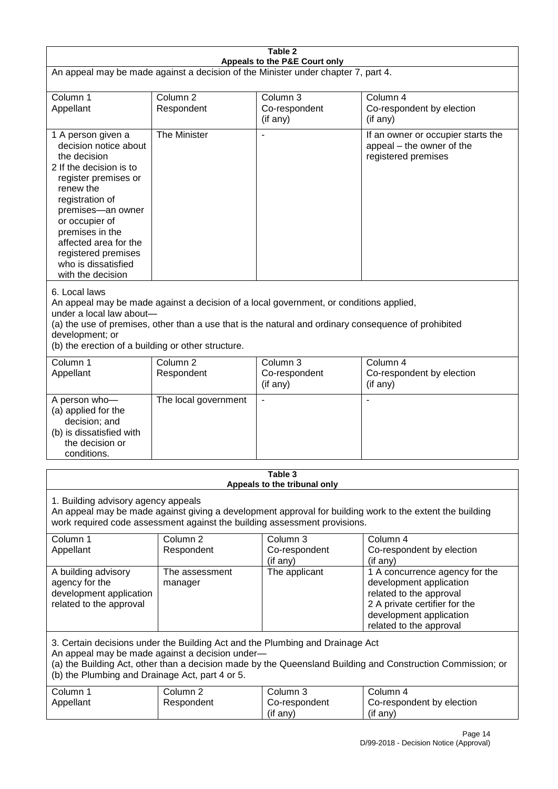| Table 2<br>Appeals to the P&E Court only                                                                                                                                                                                                                                                                             |                                   |                                                  |                                                                                                                                                                             |  |
|----------------------------------------------------------------------------------------------------------------------------------------------------------------------------------------------------------------------------------------------------------------------------------------------------------------------|-----------------------------------|--------------------------------------------------|-----------------------------------------------------------------------------------------------------------------------------------------------------------------------------|--|
| An appeal may be made against a decision of the Minister under chapter 7, part 4.                                                                                                                                                                                                                                    |                                   |                                                  |                                                                                                                                                                             |  |
| Column 1<br>Appellant                                                                                                                                                                                                                                                                                                | Column <sub>2</sub><br>Respondent | Column 3<br>Co-respondent<br>(if any)            | Column 4<br>Co-respondent by election<br>(if any)                                                                                                                           |  |
| 1 A person given a<br>decision notice about<br>the decision<br>2 If the decision is to<br>register premises or<br>renew the<br>registration of<br>premises-an owner<br>or occupier of<br>premises in the<br>affected area for the<br>registered premises<br>who is dissatisfied<br>with the decision                 | The Minister                      |                                                  | If an owner or occupier starts the<br>appeal - the owner of the<br>registered premises                                                                                      |  |
| 6. Local laws<br>An appeal may be made against a decision of a local government, or conditions applied,<br>under a local law about-<br>(a) the use of premises, other than a use that is the natural and ordinary consequence of prohibited<br>development; or<br>(b) the erection of a building or other structure. |                                   |                                                  |                                                                                                                                                                             |  |
| Column 1<br>Appellant                                                                                                                                                                                                                                                                                                | Column <sub>2</sub><br>Respondent | Column <sub>3</sub><br>Co-respondent<br>(if any) | Column 4<br>Co-respondent by election<br>(if any)                                                                                                                           |  |
| A person who-<br>(a) applied for the<br>decision; and<br>(b) is dissatisfied with<br>the decision or<br>conditions.                                                                                                                                                                                                  | The local government              | $\blacksquare$                                   |                                                                                                                                                                             |  |
| Table 3<br>Appeals to the tribunal only                                                                                                                                                                                                                                                                              |                                   |                                                  |                                                                                                                                                                             |  |
| 1. Building advisory agency appeals<br>An appeal may be made against giving a development approval for building work to the extent the building<br>work required code assessment against the building assessment provisions.                                                                                         |                                   |                                                  |                                                                                                                                                                             |  |
| Column 1<br>Appellant                                                                                                                                                                                                                                                                                                | Column 2<br>Respondent            | Column 3<br>Co-respondent<br>(if any)            | Column 4<br>Co-respondent by election<br>(if any)                                                                                                                           |  |
| A building advisory<br>agency for the<br>development application<br>related to the approval                                                                                                                                                                                                                          | The assessment<br>manager         | The applicant                                    | 1 A concurrence agency for the<br>development application<br>related to the approval<br>2 A private certifier for the<br>development application<br>related to the approval |  |
| 3. Certain decisions under the Building Act and the Plumbing and Drainage Act<br>An appeal may be made against a decision under-<br>(a) the Building Act, other than a decision made by the Queensland Building and Construction Commission; or<br>(b) the Plumbing and Drainage Act, part 4 or 5.                   |                                   |                                                  |                                                                                                                                                                             |  |
| Column 1<br>Appellant                                                                                                                                                                                                                                                                                                | Column <sub>2</sub><br>Respondent | Column 3<br>Co-respondent<br>(if any)            | Column 4<br>Co-respondent by election<br>(if any)                                                                                                                           |  |